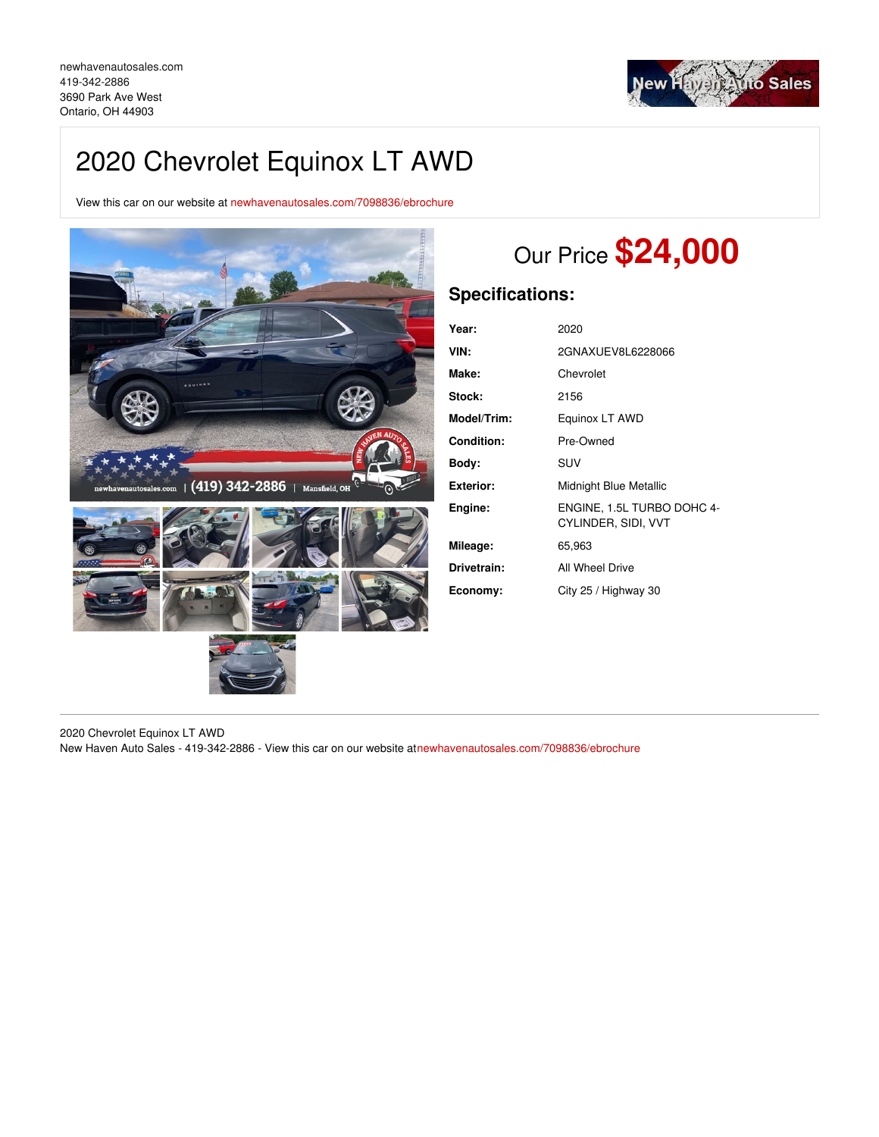

## 2020 Chevrolet Equinox LT AWD

View this car on our website at [newhavenautosales.com/7098836/ebrochure](https://newhavenautosales.com/vehicle/7098836/2020-chevrolet-equinox-lt-awd-ontario-oh-44903/7098836/ebrochure)



# Our Price **\$24,000**

## **Specifications:**

| Year:             | 2020                                              |
|-------------------|---------------------------------------------------|
| VIN:              | 2GNAXUEV8L6228066                                 |
| Make:             | Chevrolet                                         |
| Stock:            | 2156                                              |
| Model/Trim:       | Equinox LT AWD                                    |
| <b>Condition:</b> | Pre-Owned                                         |
| Body:             | SUV                                               |
| <b>Exterior:</b>  | Midnight Blue Metallic                            |
| Engine:           | ENGINE, 1.5L TURBO DOHC 4-<br>CYLINDER, SIDI, VVT |
| Mileage:          | 65,963                                            |
| Drivetrain:       | All Wheel Drive                                   |
| Economy:          | City 25 / Highway 30                              |

2020 Chevrolet Equinox LT AWD New Haven Auto Sales - 419-342-2886 - View this car on our website a[tnewhavenautosales.com/7098836/ebrochure](https://newhavenautosales.com/vehicle/7098836/2020-chevrolet-equinox-lt-awd-ontario-oh-44903/7098836/ebrochure)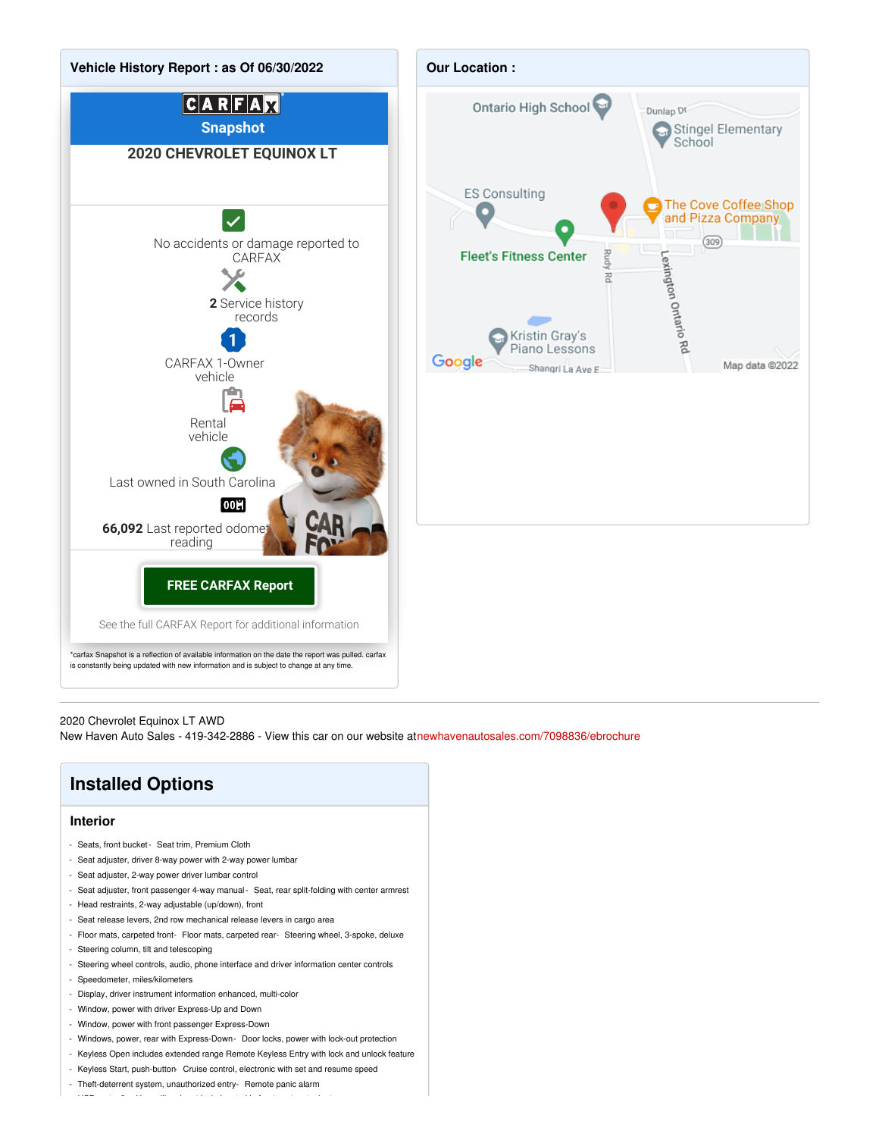



2020 Chevrolet Equinox LT AWD

New Haven Auto Sales - 419-342-2886 - View this car on our website a[tnewhavenautosales.com/7098836/ebrochure](https://newhavenautosales.com/vehicle/7098836/2020-chevrolet-equinox-lt-awd-ontario-oh-44903/7098836/ebrochure)

## **Installed Options**

#### **Interior**

- Seats, front bucket- Seat trim, Premium Cloth
- Seat adjuster, driver 8-way power with 2-way power lumbar
- Seat adjuster, 2-way power driver lumbar control
- Seat adjuster, front passenger 4-way manual- Seat, rear split-folding with center armrest
- Head restraints, 2-way adjustable (up/down), front
- Seat release levers, 2nd row mechanical release levers in cargo area
- Floor mats, carpeted front- Floor mats, carpeted rear- Steering wheel, 3-spoke, deluxe
- Steering column, tilt and telescoping
- Steering wheel controls, audio, phone interface and driver information center controls
- Speedometer, miles/kilometers
- Display, driver instrument information enhanced, multi-color
- Window, power with driver Express-Up and Down
- Window, power with front passenger Express-Down
- Windows, power, rear with Express-Down- Door locks, power with lock-out protection
- Keyless Open includes extended range Remote Keyless Entry with lock and unlock feature
- Keyless Start, push-button- Cruise control, electronic with set and resume speed

 $U$  ports,  $2, y$  points,  $2, y$  and  $y$  in front center stack, located in front center stack storage area  $\alpha$ 

- Theft-deterrent system, unauthorized entry- Remote panic alarm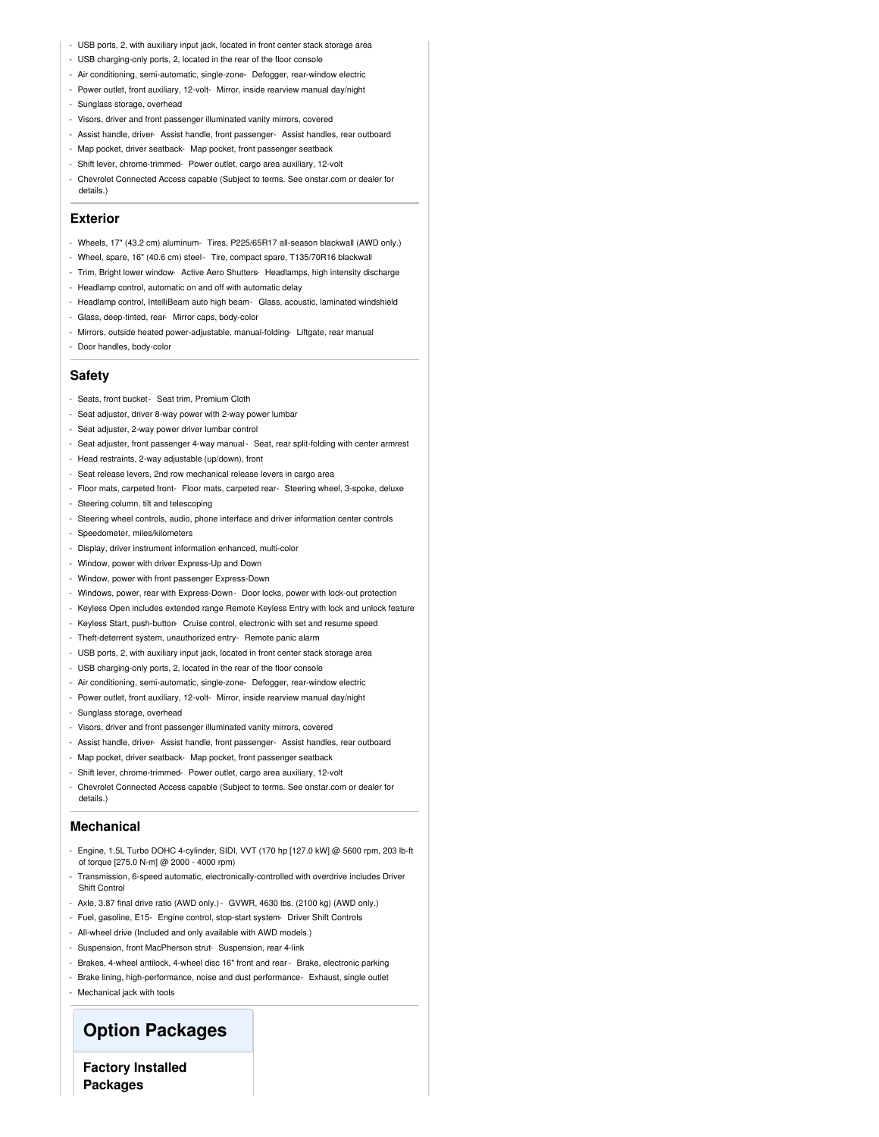- USB ports, 2, with auxiliary input jack, located in front center stack storage area
- USB charging-only ports, 2, located in the rear of the floor console
- Air conditioning, semi-automatic, single-zone- Defogger, rear-window electric
- Power outlet, front auxiliary, 12-volt- Mirror, inside rearview manual day/night
- Sunglass storage, overhead
- Visors, driver and front passenger illuminated vanity mirrors, covered
- Assist handle, driver- Assist handle, front passenger- Assist handles, rear outboard
- Map pocket, driver seatback- Map pocket, front passenger seatback
- Shift lever, chrome-trimmed- Power outlet, cargo area auxiliary, 12-volt
- Chevrolet Connected Access capable (Subject to terms. See onstar.com or dealer for details.)

#### **Exterior**

- Wheels, 17" (43.2 cm) aluminum- Tires, P225/65R17 all-season blackwall (AWD only.)
- Wheel, spare, 16" (40.6 cm) steel- Tire, compact spare, T135/70R16 blackwall
- Trim, Bright lower window- Active Aero Shutters- Headlamps, high intensity discharge
- Headlamp control, automatic on and off with automatic delay
- Headlamp control, IntelliBeam auto high beam- Glass, acoustic, laminated windshield
- Glass, deep-tinted, rear- Mirror caps, body-color
- Mirrors, outside heated power-adjustable, manual-folding- Liftgate, rear manual
- Door handles, body-color

#### **Safety**

- Seats, front bucket- Seat trim, Premium Cloth
- Seat adjuster, driver 8-way power with 2-way power lumbar
- Seat adjuster, 2-way power driver lumbar control
- Seat adjuster, front passenger 4-way manual- Seat, rear split-folding with center armrest
- Head restraints, 2-way adjustable (up/down), front
- Seat release levers, 2nd row mechanical release levers in cargo area
- Floor mats, carpeted front- Floor mats, carpeted rear- Steering wheel, 3-spoke, deluxe
- Steering column, tilt and telescoping
- Steering wheel controls, audio, phone interface and driver information center controls
- Speedometer, miles/kilometers
- Display, driver instrument information enhanced, multi-color
- Window, power with driver Express-Up and Down
- Window, power with front passenger Express-Down
- Windows, power, rear with Express-Down- Door locks, power with lock-out protection
- Keyless Open includes extended range Remote Keyless Entry with lock and unlock feature
- Keyless Start, push-button- Cruise control, electronic with set and resume speed
- Theft-deterrent system, unauthorized entry- Remote panic alarm
- USB ports, 2, with auxiliary input jack, located in front center stack storage area
- USB charging-only ports, 2, located in the rear of the floor console
- Air conditioning, semi-automatic, single-zone- Defogger, rear-window electric
- Power outlet, front auxiliary, 12-volt- Mirror, inside rearview manual day/night
- Sunglass storage, overhead
- Visors, driver and front passenger illuminated vanity mirrors, covered
- Assist handle, driver- Assist handle, front passenger- Assist handles, rear outboard
- Map pocket, driver seatback- Map pocket, front passenger seatback
- Shift lever, chrome-trimmed- Power outlet, cargo area auxiliary, 12-volt
- Chevrolet Connected Access capable (Subject to terms. See onstar.com or dealer for details.)

#### **Mechanical**

- Engine, 1.5L Turbo DOHC 4-cylinder, SIDI, VVT (170 hp [127.0 kW] @ 5600 rpm, 203 lb-ft of torque [275.0 N-m] @ 2000 - 4000 rpm)
- Transmission, 6-speed automatic, electronically-controlled with overdrive includes Driver Shift Control
- Axle, 3.87 final drive ratio (AWD only.)- GVWR, 4630 lbs. (2100 kg) (AWD only.)
- Fuel, gasoline, E15- Engine control, stop-start system- Driver Shift Controls
- All-wheel drive (Included and only available with AWD models.)
- Suspension, front MacPherson strut- Suspension, rear 4-link
- Brakes, 4-wheel antilock, 4-wheel disc 16" front and rear Brake, electronic parking
- Brake lining, high-performance, noise and dust performance- Exhaust, single outlet
- Mechanical jack with tools

### **Option Packages**

**Factory Installed Packages**